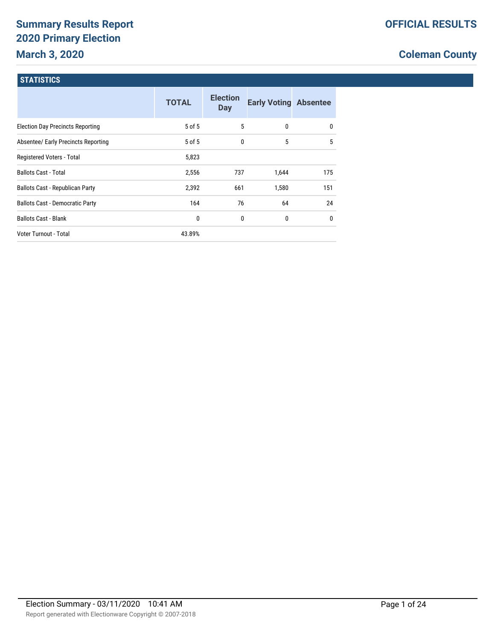# **Summary Results Report 2020 Primary Election March 3, 2020**

# **Coleman County**

#### **STATISTICS**

|                                         | <b>TOTAL</b> | <b>Election</b><br><b>Day</b> | <b>Early Voting Absentee</b> |              |
|-----------------------------------------|--------------|-------------------------------|------------------------------|--------------|
| <b>Election Day Precincts Reporting</b> | 5 of 5       | 5                             | 0                            | 0            |
| Absentee/ Early Precincts Reporting     | 5 of 5       | $\mathbf{0}$                  | 5                            | 5            |
| Registered Voters - Total               | 5,823        |                               |                              |              |
| <b>Ballots Cast - Total</b>             | 2,556        | 737                           | 1,644                        | 175          |
| <b>Ballots Cast - Republican Party</b>  | 2,392        | 661                           | 1,580                        | 151          |
| <b>Ballots Cast - Democratic Party</b>  | 164          | 76                            | 64                           | 24           |
| <b>Ballots Cast - Blank</b>             | 0            | 0                             | 0                            | $\mathbf{0}$ |
| Voter Turnout - Total                   | 43.89%       |                               |                              |              |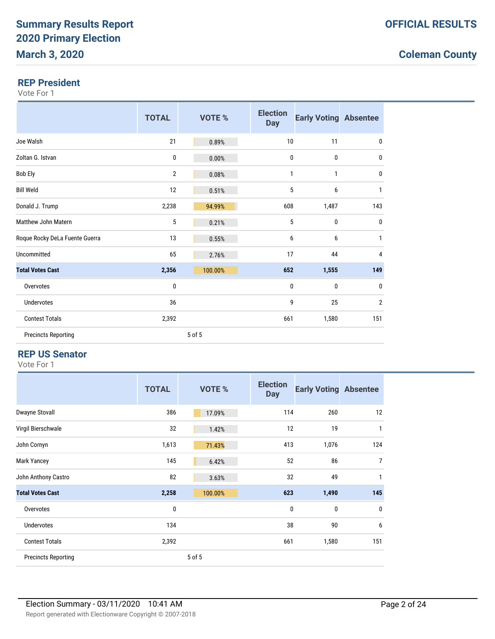#### **REP President**

Vote For 1

|                                | <b>TOTAL</b>   | <b>VOTE %</b> | <b>Election</b><br><b>Day</b> | <b>Early Voting Absentee</b> |                |
|--------------------------------|----------------|---------------|-------------------------------|------------------------------|----------------|
| Joe Walsh                      | 21             | 0.89%         | 10                            | 11                           | 0              |
| Zoltan G. Istvan               | 0              | 0.00%         | 0                             | 0                            | 0              |
| <b>Bob Ely</b>                 | $\overline{2}$ | 0.08%         | 1                             | 1                            | 0              |
| <b>Bill Weld</b>               | 12             | 0.51%         | 5                             | 6                            | 1              |
| Donald J. Trump                | 2,238          | 94.99%        | 608                           | 1,487                        | 143            |
| Matthew John Matern            | 5              | 0.21%         | 5                             | $\mathbf{0}$                 | 0              |
| Roque Rocky DeLa Fuente Guerra | 13             | 0.55%         | 6                             | 6                            | 1              |
| Uncommitted                    | 65             | 2.76%         | 17                            | 44                           | 4              |
| <b>Total Votes Cast</b>        | 2,356          | 100.00%       | 652                           | 1,555                        | 149            |
| Overvotes                      | 0              |               | 0                             | $\mathbf{0}$                 | $\mathbf{0}$   |
| <b>Undervotes</b>              | 36             |               | 9                             | 25                           | $\overline{2}$ |
| <b>Contest Totals</b>          | 2,392          |               | 661                           | 1,580                        | 151            |
| <b>Precincts Reporting</b>     |                | 5 of 5        |                               |                              |                |

#### **REP US Senator**

|                            | <b>TOTAL</b> | <b>VOTE %</b> | <b>Election</b><br><b>Day</b> | <b>Early Voting Absentee</b> |              |
|----------------------------|--------------|---------------|-------------------------------|------------------------------|--------------|
| <b>Dwayne Stovall</b>      | 386          | 17.09%        | 114                           | 260                          | 12           |
| Virgil Bierschwale         | 32           | 1.42%         | 12                            | 19                           | 1            |
| John Cornyn                | 1,613        | 71.43%        | 413                           | 1,076                        | 124          |
| <b>Mark Yancey</b>         | 145          | 6.42%         | 52                            | 86                           | 7            |
| John Anthony Castro        | 82           | 3.63%         | 32                            | 49                           | $\mathbf{1}$ |
| <b>Total Votes Cast</b>    | 2,258        | 100.00%       | 623                           | 1,490                        | 145          |
| Overvotes                  | 0            |               | $\mathbf{0}$                  | $\mathbf 0$                  | $\mathbf{0}$ |
| <b>Undervotes</b>          | 134          |               | 38                            | 90                           | 6            |
| <b>Contest Totals</b>      | 2,392        |               | 661                           | 1,580                        | 151          |
| <b>Precincts Reporting</b> |              | 5 of 5        |                               |                              |              |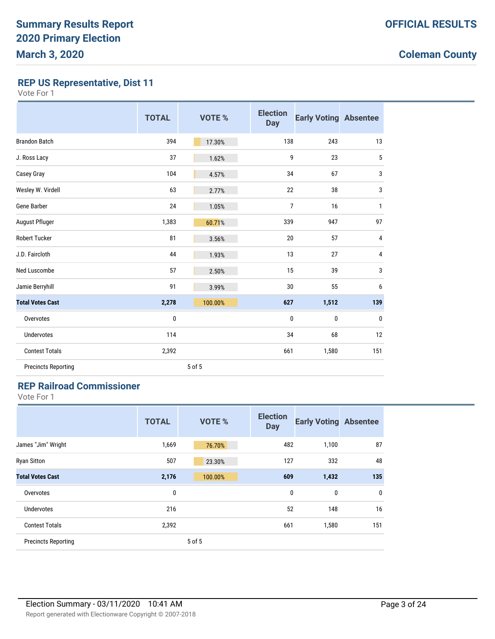**REP US Representative, Dist 11**

Vote For 1

|                            | <b>TOTAL</b> | <b>VOTE %</b> | <b>Election</b><br><b>Day</b> | <b>Early Voting Absentee</b> |              |
|----------------------------|--------------|---------------|-------------------------------|------------------------------|--------------|
| <b>Brandon Batch</b>       | 394          | 17.30%        | 138                           | 243                          | 13           |
| J. Ross Lacy               | 37           | 1.62%         | 9                             | 23                           | 5            |
| Casey Gray                 | 104          | 4.57%         | 34                            | 67                           | 3            |
| Wesley W. Virdell          | 63           | 2.77%         | 22                            | 38                           | 3            |
| Gene Barber                | 24           | 1.05%         | $\overline{7}$                | 16                           | $\mathbf{1}$ |
| August Pfluger             | 1,383        | 60.71%        | 339                           | 947                          | 97           |
| <b>Robert Tucker</b>       | 81           | 3.56%         | 20                            | 57                           | 4            |
| J.D. Faircloth             | 44           | 1.93%         | 13                            | 27                           | 4            |
| Ned Luscombe               | 57           | 2.50%         | 15                            | 39                           | 3            |
| Jamie Berryhill            | 91           | 3.99%         | 30                            | 55                           | 6            |
| <b>Total Votes Cast</b>    | 2,278        | 100.00%       | 627                           | 1,512                        | 139          |
| Overvotes                  | 0            |               | 0                             | 0                            | 0            |
| <b>Undervotes</b>          | 114          |               | 34                            | 68                           | 12           |
| <b>Contest Totals</b>      | 2,392        |               | 661                           | 1,580                        | 151          |
| <b>Precincts Reporting</b> |              | 5 of 5        |                               |                              |              |

### **REP Railroad Commissioner**

|                            | <b>TOTAL</b> | <b>VOTE %</b> | <b>Election</b><br><b>Day</b> | <b>Early Voting Absentee</b> |     |
|----------------------------|--------------|---------------|-------------------------------|------------------------------|-----|
| James "Jim" Wright         | 1,669        | 76.70%        | 482                           | 1,100                        | 87  |
| <b>Ryan Sitton</b>         | 507          | 23.30%        | 127                           | 332                          | 48  |
| <b>Total Votes Cast</b>    | 2,176        | 100.00%       | 609                           | 1,432                        | 135 |
| Overvotes                  | 0            |               | 0                             | 0                            | 0   |
| Undervotes                 | 216          |               | 52                            | 148                          | 16  |
| <b>Contest Totals</b>      | 2,392        |               | 661                           | 1,580                        | 151 |
| <b>Precincts Reporting</b> |              | 5 of 5        |                               |                              |     |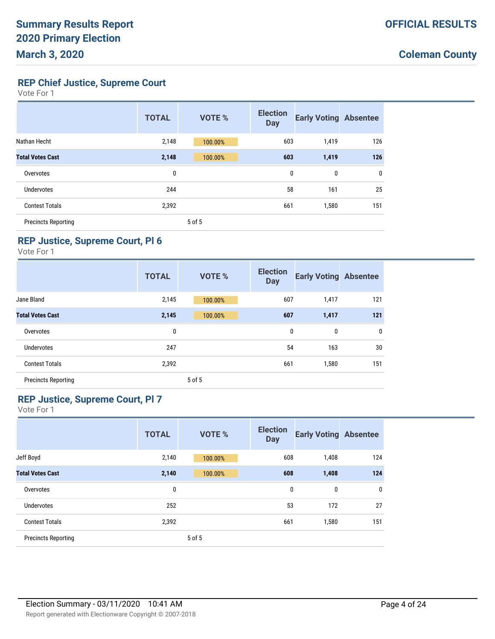**REP Chief Justice, Supreme Court**

| Vote For |  |  |
|----------|--|--|
|----------|--|--|

|                            | <b>TOTAL</b> | <b>VOTE %</b> | <b>Election</b><br><b>Day</b> | <b>Early Voting Absentee</b> |              |
|----------------------------|--------------|---------------|-------------------------------|------------------------------|--------------|
| Nathan Hecht               | 2,148        | 100.00%       | 603                           | 1,419                        | 126          |
| <b>Total Votes Cast</b>    | 2,148        | 100.00%       | 603                           | 1,419                        | 126          |
| Overvotes                  | 0            |               | 0                             | $\mathbf 0$                  | $\mathbf{0}$ |
| Undervotes                 | 244          |               | 58                            | 161                          | 25           |
| <b>Contest Totals</b>      | 2,392        |               | 661                           | 1,580                        | 151          |
| <b>Precincts Reporting</b> |              | 5 of 5        |                               |                              |              |

### **REP Justice, Supreme Court, Pl 6**

Vote For 1

|                            | <b>TOTAL</b> | <b>VOTE %</b> | <b>Election</b><br><b>Day</b> | <b>Early Voting Absentee</b> |     |
|----------------------------|--------------|---------------|-------------------------------|------------------------------|-----|
| Jane Bland                 | 2,145        | 100.00%       | 607                           | 1,417                        | 121 |
| <b>Total Votes Cast</b>    | 2,145        | 100.00%       | 607                           | 1,417                        | 121 |
| Overvotes                  | 0            |               | 0                             | 0                            | 0   |
| Undervotes                 | 247          |               | 54                            | 163                          | 30  |
| <b>Contest Totals</b>      | 2,392        |               | 661                           | 1,580                        | 151 |
| <b>Precincts Reporting</b> |              | 5 of 5        |                               |                              |     |

#### **REP Justice, Supreme Court, Pl 7**

|                            | <b>TOTAL</b> | <b>VOTE %</b> | <b>Election</b><br><b>Day</b> | <b>Early Voting Absentee</b> |     |
|----------------------------|--------------|---------------|-------------------------------|------------------------------|-----|
| Jeff Boyd                  | 2,140        | 100.00%       | 608                           | 1,408                        | 124 |
| <b>Total Votes Cast</b>    | 2,140        | 100.00%       | 608                           | 1,408                        | 124 |
| Overvotes                  | 0            |               | 0                             | 0                            | 0   |
| <b>Undervotes</b>          | 252          |               | 53                            | 172                          | 27  |
| <b>Contest Totals</b>      | 2,392        |               | 661                           | 1,580                        | 151 |
| <b>Precincts Reporting</b> |              | 5 of 5        |                               |                              |     |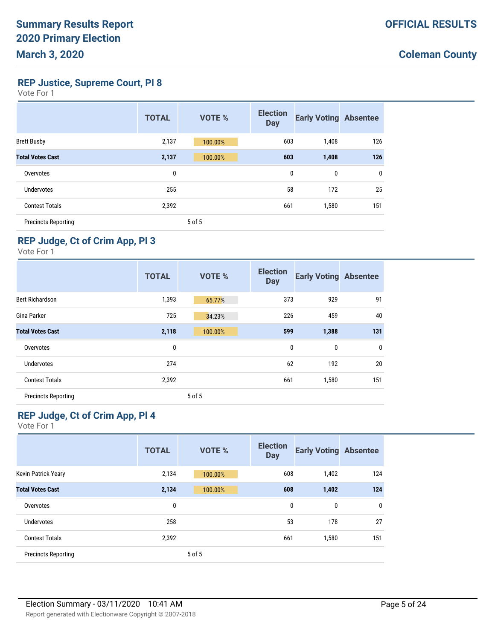**REP Justice, Supreme Court, Pl 8**

Vote For 1

|                            | <b>TOTAL</b> | <b>VOTE %</b> | <b>Election</b><br><b>Day</b> | <b>Early Voting Absentee</b> |              |
|----------------------------|--------------|---------------|-------------------------------|------------------------------|--------------|
| <b>Brett Busby</b>         | 2,137        | 100.00%       | 603                           | 1,408                        | 126          |
| <b>Total Votes Cast</b>    | 2,137        | 100.00%       | 603                           | 1,408                        | 126          |
| Overvotes                  | 0            |               | $\mathbf{0}$                  | $\mathbf 0$                  | $\mathbf{0}$ |
| <b>Undervotes</b>          | 255          |               | 58                            | 172                          | 25           |
| <b>Contest Totals</b>      | 2,392        |               | 661                           | 1,580                        | 151          |
| <b>Precincts Reporting</b> |              | 5 of 5        |                               |                              |              |

### **REP Judge, Ct of Crim App, Pl 3**

Vote For 1

|                            | <b>TOTAL</b> | <b>VOTE %</b> | <b>Election</b><br><b>Day</b> | <b>Early Voting Absentee</b> |             |
|----------------------------|--------------|---------------|-------------------------------|------------------------------|-------------|
| <b>Bert Richardson</b>     | 1,393        | 65.77%        | 373                           | 929                          | 91          |
| Gina Parker                | 725          | 34.23%        | 226                           | 459                          | 40          |
| <b>Total Votes Cast</b>    | 2,118        | 100.00%       | 599                           | 1,388                        | 131         |
| Overvotes                  | 0            |               | 0                             | 0                            | $\mathbf 0$ |
| Undervotes                 | 274          |               | 62                            | 192                          | 20          |
| <b>Contest Totals</b>      | 2,392        |               | 661                           | 1,580                        | 151         |
| <b>Precincts Reporting</b> |              | 5 of 5        |                               |                              |             |

#### **REP Judge, Ct of Crim App, Pl 4**

|                            | <b>TOTAL</b> | <b>VOTE %</b> | <b>Election</b><br><b>Day</b> | <b>Early Voting Absentee</b> |     |
|----------------------------|--------------|---------------|-------------------------------|------------------------------|-----|
| Kevin Patrick Yeary        | 2,134        | 100.00%       | 608                           | 1,402                        | 124 |
| <b>Total Votes Cast</b>    | 2,134        | 100.00%       | 608                           | 1,402                        | 124 |
| Overvotes                  | 0            |               | $\mathbf 0$                   | 0                            | 0   |
| Undervotes                 | 258          |               | 53                            | 178                          | 27  |
| <b>Contest Totals</b>      | 2,392        |               | 661                           | 1,580                        | 151 |
| <b>Precincts Reporting</b> |              | 5 of 5        |                               |                              |     |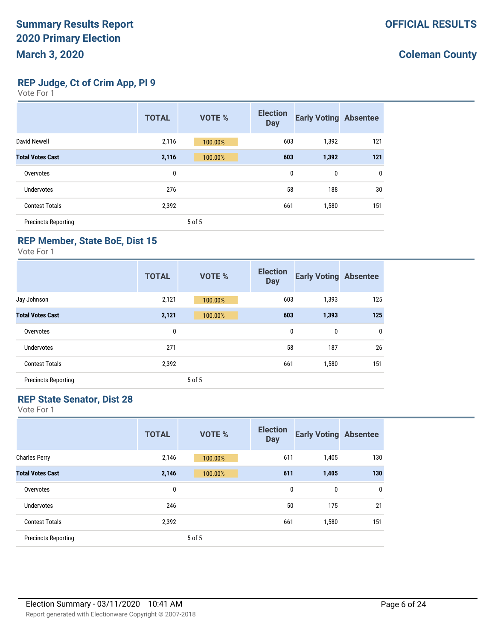**REP Judge, Ct of Crim App, Pl 9**

| nte F |  |  |
|-------|--|--|
|-------|--|--|

|                            | <b>TOTAL</b> | <b>VOTE %</b> | <b>Election</b><br><b>Day</b> | <b>Early Voting Absentee</b> |     |
|----------------------------|--------------|---------------|-------------------------------|------------------------------|-----|
| David Newell               | 2,116        | 100.00%       | 603                           | 1,392                        | 121 |
| <b>Total Votes Cast</b>    | 2,116        | 100.00%       | 603                           | 1,392                        | 121 |
| Overvotes                  | 0            |               | 0                             | 0                            | 0   |
| Undervotes                 | 276          |               | 58                            | 188                          | 30  |
| <b>Contest Totals</b>      | 2,392        |               | 661                           | 1,580                        | 151 |
| <b>Precincts Reporting</b> |              | 5 of 5        |                               |                              |     |

### **REP Member, State BoE, Dist 15**

Vote For 1

|                            | <b>TOTAL</b> | <b>VOTE %</b> | <b>Election</b><br><b>Day</b> | <b>Early Voting Absentee</b> |             |
|----------------------------|--------------|---------------|-------------------------------|------------------------------|-------------|
| Jay Johnson                | 2,121        | 100.00%       | 603                           | 1,393                        | 125         |
| <b>Total Votes Cast</b>    | 2,121        | 100.00%       | 603                           | 1,393                        | 125         |
| Overvotes                  | 0            |               | $\mathbf{0}$                  | 0                            | $\mathbf 0$ |
| Undervotes                 | 271          |               | 58                            | 187                          | 26          |
| <b>Contest Totals</b>      | 2,392        |               | 661                           | 1,580                        | 151         |
| <b>Precincts Reporting</b> |              | 5 of 5        |                               |                              |             |

#### **REP State Senator, Dist 28**

|                            | <b>TOTAL</b> | <b>VOTE %</b> | <b>Election</b><br><b>Day</b> | <b>Early Voting Absentee</b> |     |
|----------------------------|--------------|---------------|-------------------------------|------------------------------|-----|
| <b>Charles Perry</b>       | 2,146        | 100.00%       | 611                           | 1,405                        | 130 |
| <b>Total Votes Cast</b>    | 2,146        | 100.00%       | 611                           | 1,405                        | 130 |
| Overvotes                  | 0            |               | 0                             | 0                            | 0   |
| <b>Undervotes</b>          | 246          |               | 50                            | 175                          | 21  |
| <b>Contest Totals</b>      | 2,392        |               | 661                           | 1,580                        | 151 |
| <b>Precincts Reporting</b> |              | 5 of 5        |                               |                              |     |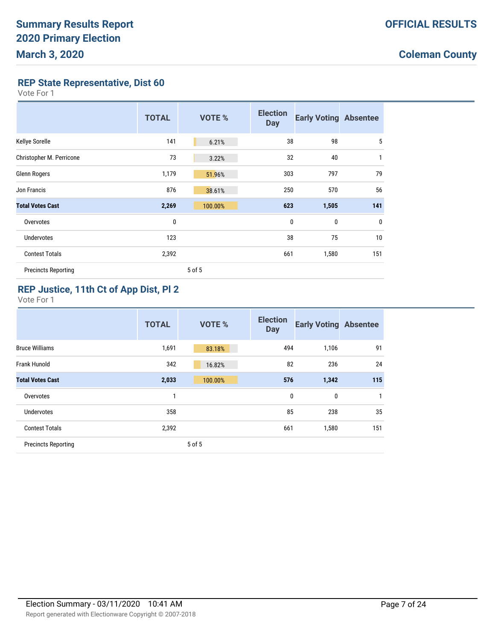**REP State Representative, Dist 60**

Vote For 1

|                            | <b>TOTAL</b> | <b>VOTE %</b> | <b>Election</b><br><b>Day</b> | <b>Early Voting Absentee</b> |             |
|----------------------------|--------------|---------------|-------------------------------|------------------------------|-------------|
| Kellye Sorelle             | 141          | 6.21%         | 38                            | 98                           | 5           |
| Christopher M. Perricone   | 73           | 3.22%         | 32                            | 40                           | 1           |
| Glenn Rogers               | 1,179        | 51.96%        | 303                           | 797                          | 79          |
| Jon Francis                | 876          | 38.61%        | 250                           | 570                          | 56          |
| <b>Total Votes Cast</b>    | 2,269        | 100.00%       | 623                           | 1,505                        | 141         |
| Overvotes                  | 0            |               | 0                             | 0                            | $\mathbf 0$ |
| <b>Undervotes</b>          | 123          |               | 38                            | 75                           | 10          |
| <b>Contest Totals</b>      | 2,392        |               | 661                           | 1,580                        | 151         |
| <b>Precincts Reporting</b> |              | 5 of 5        |                               |                              |             |

### **REP Justice, 11th Ct of App Dist, Pl 2**

|                            | <b>TOTAL</b> | <b>VOTE %</b> | <b>Election</b><br><b>Day</b> | <b>Early Voting Absentee</b> |              |
|----------------------------|--------------|---------------|-------------------------------|------------------------------|--------------|
| <b>Bruce Williams</b>      | 1,691        | 83.18%        | 494                           | 1,106                        | 91           |
| Frank Hunold               | 342          | 16.82%        | 82                            | 236                          | 24           |
| <b>Total Votes Cast</b>    | 2,033        | 100.00%       | 576                           | 1,342                        | 115          |
| Overvotes                  | 1            |               | 0                             | 0                            | $\mathbf{1}$ |
| <b>Undervotes</b>          | 358          |               | 85                            | 238                          | 35           |
| <b>Contest Totals</b>      | 2,392        |               | 661                           | 1,580                        | 151          |
| <b>Precincts Reporting</b> |              | 5 of 5        |                               |                              |              |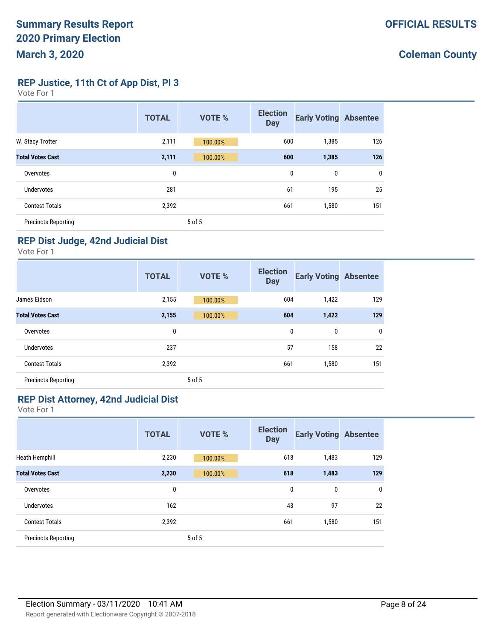**REP Justice, 11th Ct of App Dist, Pl 3**

| Vote For |  |  |
|----------|--|--|
|----------|--|--|

|                            | <b>TOTAL</b> | <b>VOTE %</b> | <b>Election</b><br><b>Day</b> | <b>Early Voting Absentee</b> |             |
|----------------------------|--------------|---------------|-------------------------------|------------------------------|-------------|
| W. Stacy Trotter           | 2,111        | 100.00%       | 600                           | 1,385                        | 126         |
| <b>Total Votes Cast</b>    | 2,111        | 100.00%       | 600                           | 1,385                        | 126         |
| Overvotes                  | 0            |               | 0                             | 0                            | $\mathbf 0$ |
| Undervotes                 | 281          |               | 61                            | 195                          | 25          |
| <b>Contest Totals</b>      | 2,392        |               | 661                           | 1,580                        | 151         |
| <b>Precincts Reporting</b> |              | 5 of 5        |                               |                              |             |

### **REP Dist Judge, 42nd Judicial Dist**

Vote For 1

|                            | <b>TOTAL</b> | <b>VOTE %</b> | <b>Election</b><br><b>Day</b> | <b>Early Voting Absentee</b> |     |
|----------------------------|--------------|---------------|-------------------------------|------------------------------|-----|
| James Eidson               | 2,155        | 100.00%       | 604                           | 1,422                        | 129 |
| <b>Total Votes Cast</b>    | 2,155        | 100.00%       | 604                           | 1,422                        | 129 |
| Overvotes                  | 0            |               | 0                             | 0                            | 0   |
| Undervotes                 | 237          |               | 57                            | 158                          | 22  |
| <b>Contest Totals</b>      | 2,392        |               | 661                           | 1,580                        | 151 |
| <b>Precincts Reporting</b> |              | 5 of 5        |                               |                              |     |

#### **REP Dist Attorney, 42nd Judicial Dist**

|                            | <b>TOTAL</b> | <b>VOTE %</b> | <b>Election</b><br><b>Day</b> | <b>Early Voting Absentee</b> |     |
|----------------------------|--------------|---------------|-------------------------------|------------------------------|-----|
| <b>Heath Hemphill</b>      | 2,230        | 100.00%       | 618                           | 1,483                        | 129 |
| <b>Total Votes Cast</b>    | 2,230        | 100.00%       | 618                           | 1,483                        | 129 |
| Overvotes                  | 0            |               | 0                             | 0                            | 0   |
| <b>Undervotes</b>          | 162          |               | 43                            | 97                           | 22  |
| <b>Contest Totals</b>      | 2,392        |               | 661                           | 1,580                        | 151 |
| <b>Precincts Reporting</b> |              | 5 of 5        |                               |                              |     |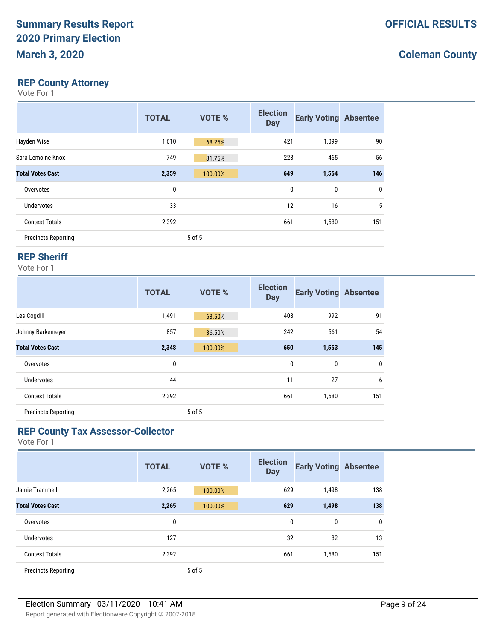#### **REP County Attorney**

Vote For 1

|                            | <b>TOTAL</b> | <b>VOTE %</b> | <b>Election</b><br><b>Day</b> | <b>Early Voting Absentee</b> |     |
|----------------------------|--------------|---------------|-------------------------------|------------------------------|-----|
| Hayden Wise                | 1,610        | 68.25%        | 421                           | 1,099                        | 90  |
| Sara Lemoine Knox          | 749          | 31.75%        | 228                           | 465                          | 56  |
| <b>Total Votes Cast</b>    | 2,359        | 100.00%       | 649                           | 1,564                        | 146 |
| Overvotes                  | 0            |               | 0                             | $\mathbf{0}$                 | 0   |
| Undervotes                 | 33           |               | 12                            | 16                           | 5   |
| <b>Contest Totals</b>      | 2,392        |               | 661                           | 1,580                        | 151 |
| <b>Precincts Reporting</b> |              | 5 of 5        |                               |                              |     |

#### **REP Sheriff**

Vote For 1

|                            | <b>TOTAL</b> | <b>VOTE %</b> | <b>Election</b><br><b>Day</b> | <b>Early Voting Absentee</b> |             |
|----------------------------|--------------|---------------|-------------------------------|------------------------------|-------------|
| Les Cogdill                | 1,491        | 63.50%        | 408                           | 992                          | 91          |
| Johnny Barkemeyer          | 857          | 36.50%        | 242                           | 561                          | 54          |
| <b>Total Votes Cast</b>    | 2,348        | 100.00%       | 650                           | 1,553                        | 145         |
| Overvotes                  | $\mathbf 0$  |               | 0                             | 0                            | $\mathbf 0$ |
| Undervotes                 | 44           |               | 11                            | 27                           | 6           |
| <b>Contest Totals</b>      | 2,392        |               | 661                           | 1,580                        | 151         |
| <b>Precincts Reporting</b> |              | 5 of 5        |                               |                              |             |

#### **REP County Tax Assessor-Collector**

|                            | <b>TOTAL</b> | <b>VOTE %</b> | <b>Election</b><br><b>Day</b> | <b>Early Voting Absentee</b> |     |
|----------------------------|--------------|---------------|-------------------------------|------------------------------|-----|
| Jamie Trammell             | 2,265        | 100.00%       | 629                           | 1,498                        | 138 |
| <b>Total Votes Cast</b>    | 2,265        | 100.00%       | 629                           | 1,498                        | 138 |
| Overvotes                  | 0            |               | 0                             | 0                            | 0   |
| Undervotes                 | 127          |               | 32                            | 82                           | 13  |
| <b>Contest Totals</b>      | 2,392        |               | 661                           | 1,580                        | 151 |
| <b>Precincts Reporting</b> |              | 5 of 5        |                               |                              |     |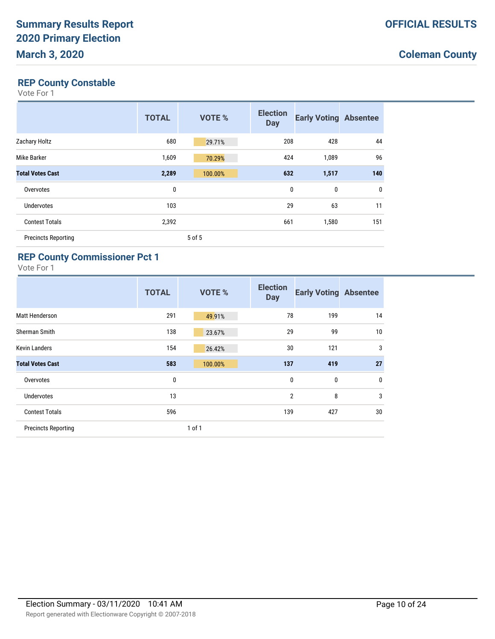### **REP County Constable**

Vote For 1

|                            | <b>TOTAL</b> | <b>VOTE %</b> | <b>Election</b><br><b>Day</b> | <b>Early Voting Absentee</b> |     |
|----------------------------|--------------|---------------|-------------------------------|------------------------------|-----|
| Zachary Holtz              | 680          | 29.71%        | 208                           | 428                          | 44  |
| Mike Barker                | 1,609        | 70.29%        | 424                           | 1,089                        | 96  |
| <b>Total Votes Cast</b>    | 2,289        | 100.00%       | 632                           | 1,517                        | 140 |
| Overvotes                  | 0            |               | 0                             | $\mathbf 0$                  | 0   |
| <b>Undervotes</b>          | 103          |               | 29                            | 63                           | 11  |
| <b>Contest Totals</b>      | 2,392        |               | 661                           | 1,580                        | 151 |
| <b>Precincts Reporting</b> |              | 5 of 5        |                               |                              |     |

### **REP County Commissioner Pct 1**

|                            | <b>TOTAL</b> | <b>VOTE %</b> | <b>Election</b><br><b>Day</b> | <b>Early Voting Absentee</b> |                |
|----------------------------|--------------|---------------|-------------------------------|------------------------------|----------------|
| Matt Henderson             | 291          | 49.91%        | 78                            | 199                          | 14             |
| Sherman Smith              | 138          | 23.67%        | 29                            | 99                           | 10             |
| <b>Kevin Landers</b>       | 154          | 26.42%        | 30                            | 121                          | 3              |
| <b>Total Votes Cast</b>    | 583          | 100.00%       | 137                           | 419                          | 27             |
| Overvotes                  | $\bf{0}$     |               | 0                             | $\bf{0}$                     | $\mathbf 0$    |
| <b>Undervotes</b>          | 13           |               | 2                             | 8                            | $\overline{3}$ |
| <b>Contest Totals</b>      | 596          |               | 139                           | 427                          | 30             |
| <b>Precincts Reporting</b> |              | 1 of 1        |                               |                              |                |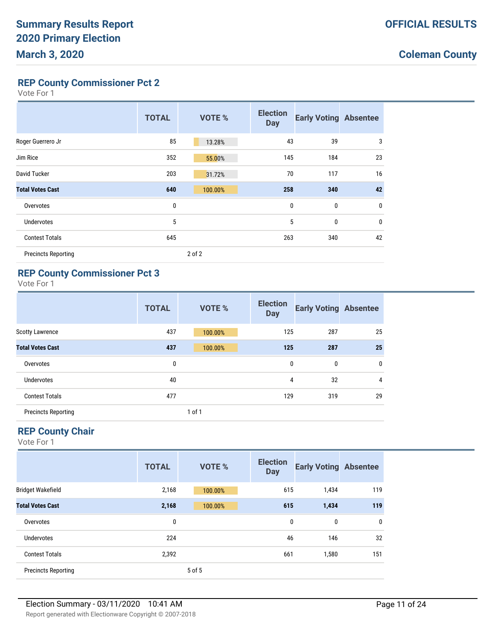**REP County Commissioner Pct 2**

| ∕ote Fc |  |  |
|---------|--|--|
|---------|--|--|

|                            | <b>TOTAL</b> | <b>VOTE %</b> | <b>Election</b><br><b>Day</b> | <b>Early Voting Absentee</b> |             |
|----------------------------|--------------|---------------|-------------------------------|------------------------------|-------------|
| Roger Guerrero Jr          | 85           | 13.28%        | 43                            | 39                           | 3           |
| Jim Rice                   | 352          | 55.00%        | 145                           | 184                          | 23          |
| David Tucker               | 203          | 31.72%        | 70                            | 117                          | 16          |
| <b>Total Votes Cast</b>    | 640          | 100.00%       | 258                           | 340                          | 42          |
| Overvotes                  | 0            |               | 0                             | 0                            | $\mathbf 0$ |
| <b>Undervotes</b>          | 5            |               | 5                             | 0                            | $\mathbf 0$ |
| <b>Contest Totals</b>      | 645          |               | 263                           | 340                          | 42          |
| <b>Precincts Reporting</b> |              | 2 of 2        |                               |                              |             |

#### **REP County Commissioner Pct 3**

Vote For 1

|                            | <b>TOTAL</b> | <b>VOTE %</b> | <b>Election</b><br><b>Day</b> | <b>Early Voting Absentee</b> |                |
|----------------------------|--------------|---------------|-------------------------------|------------------------------|----------------|
| <b>Scotty Lawrence</b>     | 437          | 100.00%       | 125                           | 287                          | 25             |
| <b>Total Votes Cast</b>    | 437          | 100.00%       | 125                           | 287                          | 25             |
| Overvotes                  | 0            |               | 0                             | 0                            | $\mathbf 0$    |
| <b>Undervotes</b>          | 40           |               | 4                             | 32                           | $\overline{4}$ |
| <b>Contest Totals</b>      | 477          |               | 129                           | 319                          | 29             |
| <b>Precincts Reporting</b> |              | 1 of 1        |                               |                              |                |

### **REP County Chair**

|                            | <b>TOTAL</b> | <b>VOTE %</b> | <b>Election</b><br><b>Day</b> | <b>Early Voting Absentee</b> |     |
|----------------------------|--------------|---------------|-------------------------------|------------------------------|-----|
| <b>Bridget Wakefield</b>   | 2,168        | 100.00%       | 615                           | 1,434                        | 119 |
| <b>Total Votes Cast</b>    | 2,168        | 100.00%       | 615                           | 1,434                        | 119 |
| Overvotes                  | 0            |               | 0                             | 0                            | 0   |
| Undervotes                 | 224          |               | 46                            | 146                          | 32  |
| <b>Contest Totals</b>      | 2,392        |               | 661                           | 1,580                        | 151 |
| <b>Precincts Reporting</b> |              | 5 of 5        |                               |                              |     |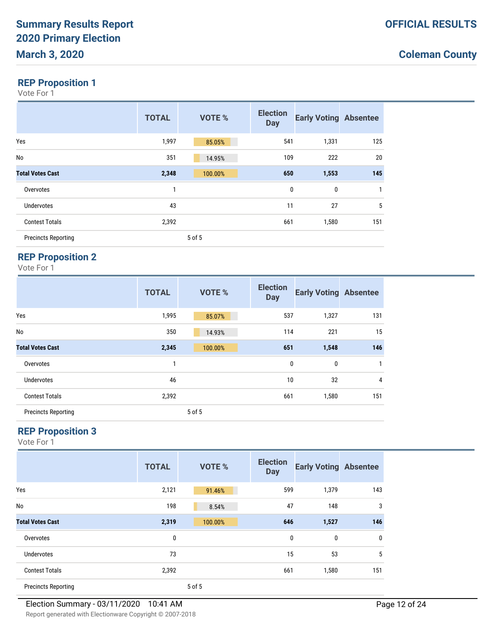### **REP Proposition 1**

Vote For 1

|                            | <b>TOTAL</b> | <b>VOTE %</b> | <b>Election</b><br><b>Day</b> | <b>Early Voting Absentee</b> |     |
|----------------------------|--------------|---------------|-------------------------------|------------------------------|-----|
| Yes                        | 1,997        | 85.05%        | 541                           | 1,331                        | 125 |
| No                         | 351          | 14.95%        | 109                           | 222                          | 20  |
| <b>Total Votes Cast</b>    | 2,348        | 100.00%       | 650                           | 1,553                        | 145 |
| Overvotes                  | 1            |               | $\mathbf{0}$                  | $\mathbf 0$                  | 1   |
| Undervotes                 | 43           |               | 11                            | 27                           | 5   |
| <b>Contest Totals</b>      | 2,392        |               | 661                           | 1,580                        | 151 |
| <b>Precincts Reporting</b> |              | 5 of 5        |                               |                              |     |

# **REP Proposition 2**

Vote For 1

|                            | <b>TOTAL</b> | VOTE %  | <b>Election</b><br><b>Day</b> | <b>Early Voting Absentee</b> |                |
|----------------------------|--------------|---------|-------------------------------|------------------------------|----------------|
| Yes                        | 1,995        | 85.07%  | 537                           | 1,327                        | 131            |
| No                         | 350          | 14.93%  | 114                           | 221                          | 15             |
| <b>Total Votes Cast</b>    | 2,345        | 100.00% | 651                           | 1,548                        | 146            |
| Overvotes                  | 1            |         | 0                             | 0                            | $\mathbf{1}$   |
| <b>Undervotes</b>          | 46           |         | 10                            | 32                           | $\overline{4}$ |
| <b>Contest Totals</b>      | 2,392        |         | 661                           | 1,580                        | 151            |
| <b>Precincts Reporting</b> |              | 5 of 5  |                               |                              |                |

### **REP Proposition 3**

|                            | <b>TOTAL</b> | <b>VOTE %</b> | <b>Election</b><br><b>Day</b> | <b>Early Voting Absentee</b> |              |
|----------------------------|--------------|---------------|-------------------------------|------------------------------|--------------|
| Yes                        | 2,121        | 91.46%        | 599                           | 1,379                        | 143          |
| No                         | 198          | 8.54%         | 47                            | 148                          | 3            |
| <b>Total Votes Cast</b>    | 2,319        | 100.00%       | 646                           | 1,527                        | 146          |
| Overvotes                  | 0            |               | 0                             | 0                            | $\mathbf{0}$ |
| <b>Undervotes</b>          | 73           |               | 15                            | 53                           | 5            |
| <b>Contest Totals</b>      | 2,392        |               | 661                           | 1,580                        | 151          |
| <b>Precincts Reporting</b> |              | 5 of 5        |                               |                              |              |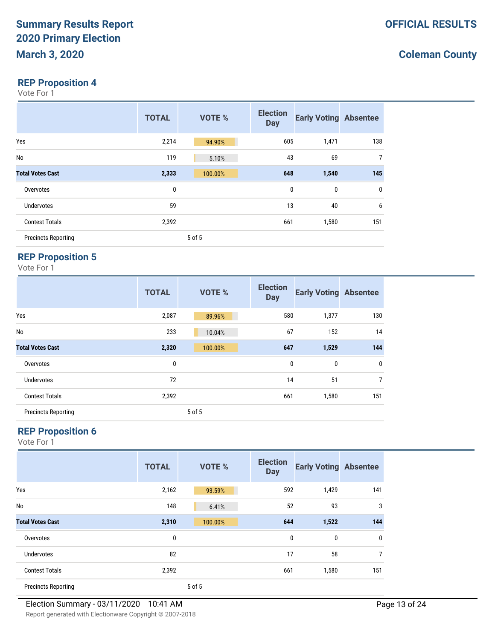#### **REP Proposition 4**

Vote For 1

|                            | <b>TOTAL</b> | <b>VOTE %</b> | <b>Election</b><br><b>Day</b> | <b>Early Voting Absentee</b> |                |
|----------------------------|--------------|---------------|-------------------------------|------------------------------|----------------|
| Yes                        | 2,214        | 94.90%        | 605                           | 1,471                        | 138            |
| No                         | 119          | 5.10%         | 43                            | 69                           | $\overline{7}$ |
| <b>Total Votes Cast</b>    | 2,333        | 100.00%       | 648                           | 1,540                        | 145            |
| Overvotes                  | 0            |               | 0                             | 0                            | $\mathbf 0$    |
| <b>Undervotes</b>          | 59           |               | 13                            | 40                           | 6              |
| <b>Contest Totals</b>      | 2,392        |               | 661                           | 1,580                        | 151            |
| <b>Precincts Reporting</b> |              | 5 of 5        |                               |                              |                |

# **REP Proposition 5**

Vote For 1

|                            | <b>TOTAL</b> | VOTE %  | <b>Election</b><br><b>Day</b> | <b>Early Voting Absentee</b> |                |
|----------------------------|--------------|---------|-------------------------------|------------------------------|----------------|
| Yes                        | 2,087        | 89.96%  | 580                           | 1,377                        | 130            |
| No                         | 233          | 10.04%  | 67                            | 152                          | 14             |
| <b>Total Votes Cast</b>    | 2,320        | 100.00% | 647                           | 1,529                        | 144            |
| Overvotes                  | 0            |         | 0                             | 0                            | $\mathbf 0$    |
| <b>Undervotes</b>          | 72           |         | 14                            | 51                           | $\overline{7}$ |
| <b>Contest Totals</b>      | 2,392        |         | 661                           | 1,580                        | 151            |
| <b>Precincts Reporting</b> |              | 5 of 5  |                               |                              |                |

### **REP Proposition 6**

|                            | <b>TOTAL</b> | <b>VOTE %</b> | <b>Election</b><br><b>Day</b> | <b>Early Voting Absentee</b> |     |
|----------------------------|--------------|---------------|-------------------------------|------------------------------|-----|
| Yes                        | 2,162        | 93.59%        | 592                           | 1,429                        | 141 |
| No                         | 148          | 6.41%         | 52                            | 93                           | 3   |
| <b>Total Votes Cast</b>    | 2,310        | 100.00%       | 644                           | 1,522                        | 144 |
| Overvotes                  | 0            |               | 0                             | 0                            | 0   |
| Undervotes                 | 82           |               | 17                            | 58                           | 7   |
| <b>Contest Totals</b>      | 2,392        |               | 661                           | 1,580                        | 151 |
| <b>Precincts Reporting</b> |              | 5 of 5        |                               |                              |     |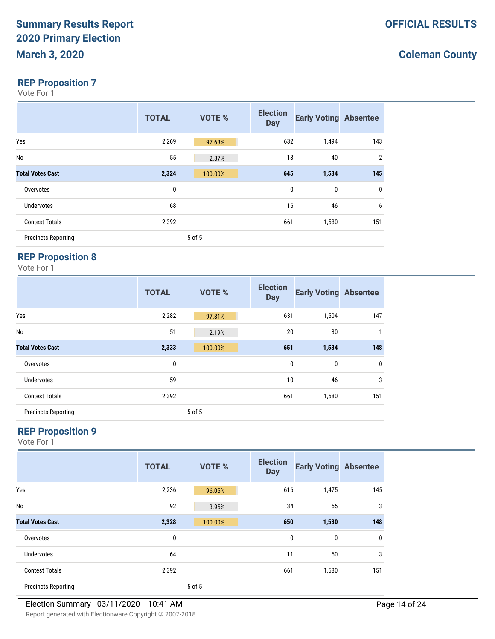#### **REP Proposition 7**

Vote For 1

|                            | <b>TOTAL</b> | VOTE %  | <b>Election</b><br><b>Day</b> | <b>Early Voting Absentee</b> |                |
|----------------------------|--------------|---------|-------------------------------|------------------------------|----------------|
| Yes                        | 2,269        | 97.63%  | 632                           | 1,494                        | 143            |
| No                         | 55           | 2.37%   | 13                            | 40                           | $\overline{2}$ |
| <b>Total Votes Cast</b>    | 2,324        | 100.00% | 645                           | 1,534                        | 145            |
| Overvotes                  | 0            |         | $\mathbf{0}$                  | $\mathbf 0$                  | 0              |
| Undervotes                 | 68           |         | 16                            | 46                           | 6              |
| <b>Contest Totals</b>      | 2,392        |         | 661                           | 1,580                        | 151            |
| <b>Precincts Reporting</b> |              | 5 of 5  |                               |                              |                |

# **REP Proposition 8**

Vote For 1

|                            | <b>TOTAL</b> | VOTE %  | <b>Election</b><br><b>Day</b> | <b>Early Voting Absentee</b> |              |
|----------------------------|--------------|---------|-------------------------------|------------------------------|--------------|
| Yes                        | 2,282        | 97.81%  | 631                           | 1,504                        | 147          |
| No                         | 51           | 2.19%   | 20                            | 30                           | $\mathbf{1}$ |
| <b>Total Votes Cast</b>    | 2,333        | 100.00% | 651                           | 1,534                        | 148          |
| Overvotes                  | 0            |         | $\mathbf 0$                   | 0                            | $\mathbf 0$  |
| <b>Undervotes</b>          | 59           |         | 10                            | 46                           | 3            |
| <b>Contest Totals</b>      | 2,392        |         | 661                           | 1,580                        | 151          |
| <b>Precincts Reporting</b> |              | 5 of 5  |                               |                              |              |

### **REP Proposition 9**

|                            | <b>TOTAL</b> | <b>VOTE %</b> | <b>Election</b><br><b>Day</b> | <b>Early Voting Absentee</b> |              |
|----------------------------|--------------|---------------|-------------------------------|------------------------------|--------------|
| Yes                        | 2,236        | 96.05%        | 616                           | 1,475                        | 145          |
| No                         | 92           | 3.95%         | 34                            | 55                           | 3            |
| <b>Total Votes Cast</b>    | 2,328        | 100.00%       | 650                           | 1,530                        | 148          |
| Overvotes                  | 0            |               | $\mathbf{0}$                  | 0                            | $\mathbf{0}$ |
| Undervotes                 | 64           |               | 11                            | 50                           | 3            |
| <b>Contest Totals</b>      | 2,392        |               | 661                           | 1,580                        | 151          |
| <b>Precincts Reporting</b> |              | 5 of 5        |                               |                              |              |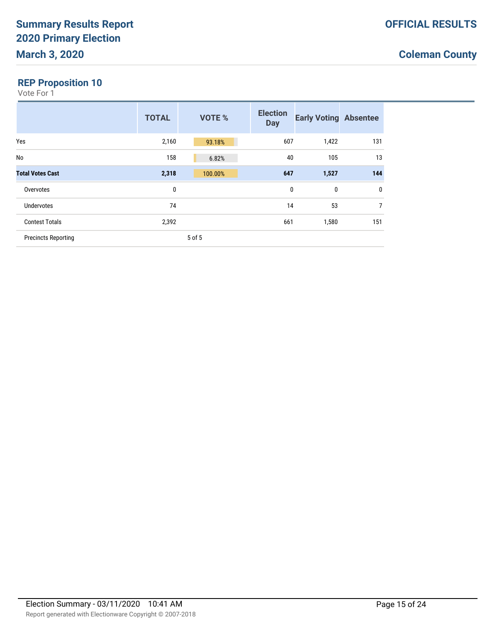### **REP Proposition 10**

|                            | <b>TOTAL</b> | <b>VOTE %</b> | <b>Election</b><br><b>Day</b> | <b>Early Voting Absentee</b> |                |
|----------------------------|--------------|---------------|-------------------------------|------------------------------|----------------|
| Yes                        | 2,160        | 93.18%        | 607                           | 1,422                        | 131            |
| No                         | 158          | 6.82%         | 40                            | 105                          | 13             |
| <b>Total Votes Cast</b>    | 2,318        | 100.00%       | 647                           | 1,527                        | 144            |
| Overvotes                  | 0            |               | 0                             | 0                            | 0              |
| Undervotes                 | 74           |               | 14                            | 53                           | $\overline{7}$ |
| <b>Contest Totals</b>      | 2,392        |               | 661                           | 1,580                        | 151            |
| <b>Precincts Reporting</b> |              | 5 of 5        |                               |                              |                |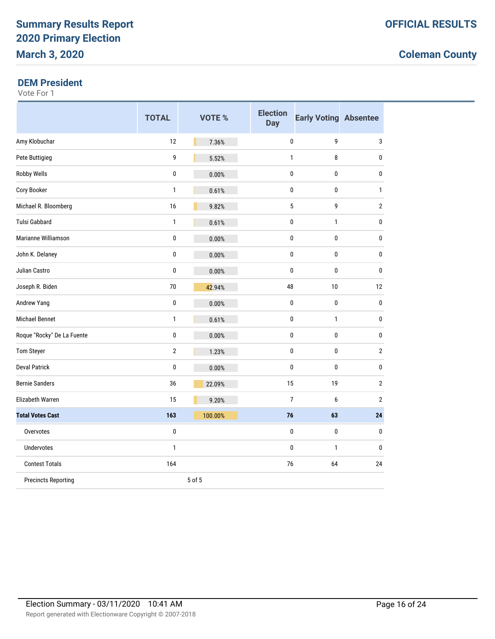#### **DEM President**

|                            | <b>TOTAL</b>   | <b>VOTE %</b> | <b>Election</b><br><b>Day</b> | <b>Early Voting Absentee</b> |                         |
|----------------------------|----------------|---------------|-------------------------------|------------------------------|-------------------------|
| Amy Klobuchar              | 12             | 7.36%         | 0                             | 9                            | 3                       |
| Pete Buttigieg             | 9              | 5.52%         | $\mathbf{1}$                  | 8                            | $\pmb{0}$               |
| <b>Robby Wells</b>         | 0              | 0.00%         | $\mathbf 0$                   | 0                            | 0                       |
| Cory Booker                | $\mathbf{1}$   | 0.61%         | $\pmb{0}$                     | $\bf{0}$                     | 1                       |
| Michael R. Bloomberg       | 16             | 9.82%         | 5                             | 9                            | $\overline{\mathbf{c}}$ |
| <b>Tulsi Gabbard</b>       | $\mathbf{1}$   | 0.61%         | 0                             | $\mathbf{1}$                 | 0                       |
| Marianne Williamson        | 0              | 0.00%         | $\mathbf 0$                   | 0                            | 0                       |
| John K. Delaney            | 0              | 0.00%         | 0                             | $\mathbf{0}$                 | 0                       |
| Julian Castro              | $\pmb{0}$      | 0.00%         | $\mathbf{0}$                  | $\pmb{0}$                    | 0                       |
| Joseph R. Biden            | 70             | 42.94%        | 48                            | 10                           | 12                      |
| Andrew Yang                | 0              | 0.00%         | $\mathbf{0}$                  | $\bf{0}$                     | 0                       |
| <b>Michael Bennet</b>      | $\mathbf{1}$   | 0.61%         | $\mathbf 0$                   | $\mathbf{1}$                 | 0                       |
| Roque "Rocky" De La Fuente | 0              | 0.00%         | $\pmb{0}$                     | $\pmb{0}$                    | 0                       |
| Tom Steyer                 | $\overline{2}$ | 1.23%         | $\mathbf 0$                   | 0                            | $\overline{2}$          |
| <b>Deval Patrick</b>       | 0              | 0.00%         | $\mathbf{0}$                  | $\mathbf{0}$                 | 0                       |
| <b>Bernie Sanders</b>      | 36             | 22.09%        | 15                            | 19                           | $\overline{\mathbf{c}}$ |
| Elizabeth Warren           | 15             | 9.20%         | $\overline{7}$                | 6                            | $\overline{2}$          |
| <b>Total Votes Cast</b>    | 163            | 100.00%       | 76                            | 63                           | 24                      |
| Overvotes                  | 0              |               | $\mathbf 0$                   | 0                            | $\pmb{0}$               |
| <b>Undervotes</b>          | $\mathbf{1}$   |               | $\mathbf{0}$                  | $\mathbf{1}$                 | 0                       |
| <b>Contest Totals</b>      | 164            |               | 76                            | 64                           | 24                      |
| <b>Precincts Reporting</b> |                | 5 of 5        |                               |                              |                         |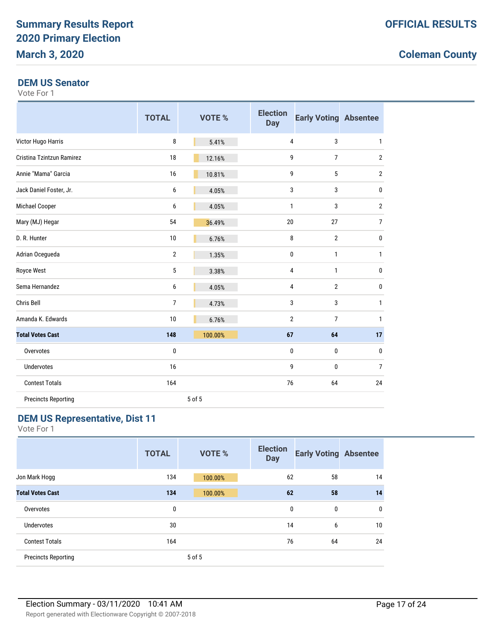#### **DEM US Senator**

Vote For 1

|                            | <b>TOTAL</b>   | <b>VOTE %</b> | <b>Election</b><br><b>Day</b> | <b>Early Voting Absentee</b> |                |
|----------------------------|----------------|---------------|-------------------------------|------------------------------|----------------|
| Victor Hugo Harris         | 8              | 5.41%         | 4                             | 3                            | $\mathbf{1}$   |
| Cristina Tzintzun Ramirez  | 18             | 12.16%        | 9                             | 7                            | $\overline{2}$ |
| Annie "Mama" Garcia        | 16             | 10.81%        | 9                             | 5                            | $\overline{2}$ |
| Jack Daniel Foster, Jr.    | 6              | 4.05%         | 3                             | 3                            | $\mathbf 0$    |
| Michael Cooper             | 6              | 4.05%         | $\mathbf{1}$                  | 3                            | $\overline{2}$ |
| Mary (MJ) Hegar            | 54             | 36.49%        | 20                            | 27                           | $\overline{7}$ |
| D. R. Hunter               | 10             | 6.76%         | 8                             | $\mathbf{2}$                 | $\pmb{0}$      |
| Adrian Ocegueda            | $\overline{2}$ | 1.35%         | $\mathbf 0$                   | $\mathbf{1}$                 | $\mathbf{1}$   |
| Royce West                 | 5              | 3.38%         | $\overline{4}$                | $\mathbf{1}$                 | $\pmb{0}$      |
| Sema Hernandez             | 6              | 4.05%         | $\overline{4}$                | $\mathbf{2}$                 | $\pmb{0}$      |
| Chris Bell                 | 7              | 4.73%         | 3                             | 3                            | $\mathbf{1}$   |
| Amanda K. Edwards          | 10             | 6.76%         | 2                             | 7                            | 1              |
| <b>Total Votes Cast</b>    | 148            | 100.00%       | 67                            | 64                           | 17             |
| Overvotes                  | 0              |               | $\mathbf 0$                   | 0                            | $\pmb{0}$      |
| <b>Undervotes</b>          | 16             |               | 9                             | 0                            | $\overline{7}$ |
| <b>Contest Totals</b>      | 164            |               | 76                            | 64                           | 24             |
| <b>Precincts Reporting</b> |                | 5 of 5        |                               |                              |                |

### **DEM US Representative, Dist 11**

|                            | <b>TOTAL</b> | VOTE %  | <b>Election</b><br><b>Day</b> | <b>Early Voting Absentee</b> |              |
|----------------------------|--------------|---------|-------------------------------|------------------------------|--------------|
| Jon Mark Hogg              | 134          | 100.00% | 62                            | 58                           | 14           |
| <b>Total Votes Cast</b>    | 134          | 100.00% | 62                            | 58                           | 14           |
| Overvotes                  | 0            |         | $\mathbf{0}$                  | 0                            | $\mathbf{0}$ |
| Undervotes                 | 30           |         | 14                            | 6                            | 10           |
| <b>Contest Totals</b>      | 164          |         | 76                            | 64                           | 24           |
| <b>Precincts Reporting</b> |              | 5 of 5  |                               |                              |              |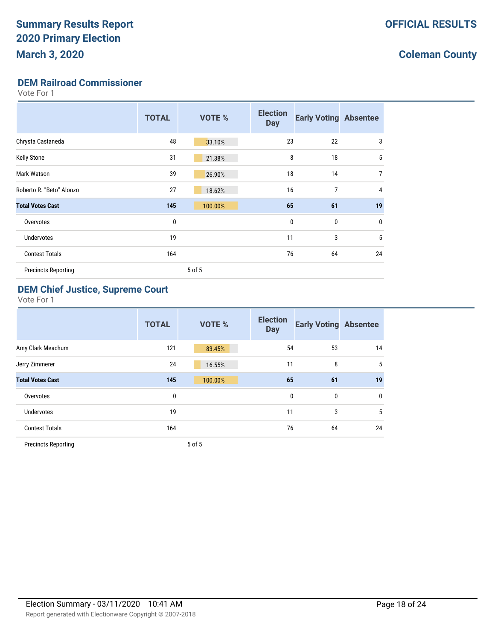### **DEM Railroad Commissioner**

Vote For 1

|                            | <b>TOTAL</b> | <b>VOTE %</b> | <b>Election</b><br><b>Day</b> | <b>Early Voting Absentee</b> |             |
|----------------------------|--------------|---------------|-------------------------------|------------------------------|-------------|
| Chrysta Castaneda          | 48           | 33.10%        | 23                            | 22                           | 3           |
| <b>Kelly Stone</b>         | 31           | 21.38%        | 8                             | 18                           | 5           |
| <b>Mark Watson</b>         | 39           | 26.90%        | 18                            | 14                           | 7           |
| Roberto R. "Beto" Alonzo   | 27           | 18.62%        | 16                            | 7                            | 4           |
| <b>Total Votes Cast</b>    | 145          | 100.00%       | 65                            | 61                           | 19          |
| Overvotes                  | 0            |               | $\mathbf 0$                   | 0                            | $\mathbf 0$ |
| <b>Undervotes</b>          | 19           |               | 11                            | 3                            | 5           |
| <b>Contest Totals</b>      | 164          |               | 76                            | 64                           | 24          |
| <b>Precincts Reporting</b> |              | 5 of 5        |                               |                              |             |

### **DEM Chief Justice, Supreme Court**

|                            | <b>TOTAL</b> | <b>VOTE %</b> | <b>Election</b><br><b>Day</b> | <b>Early Voting Absentee</b> |             |
|----------------------------|--------------|---------------|-------------------------------|------------------------------|-------------|
| Amy Clark Meachum          | 121          | 83.45%        | 54                            | 53                           | 14          |
| Jerry Zimmerer             | 24           | 16.55%        | 11                            | 8                            | $\sqrt{5}$  |
| <b>Total Votes Cast</b>    | 145          | 100.00%       | 65                            | 61                           | 19          |
| Overvotes                  | 0            |               | 0                             | 0                            | $\mathbf 0$ |
| <b>Undervotes</b>          | 19           |               | 11                            | 3                            | 5           |
| <b>Contest Totals</b>      | 164          |               | 76                            | 64                           | 24          |
| <b>Precincts Reporting</b> |              | 5 of 5        |                               |                              |             |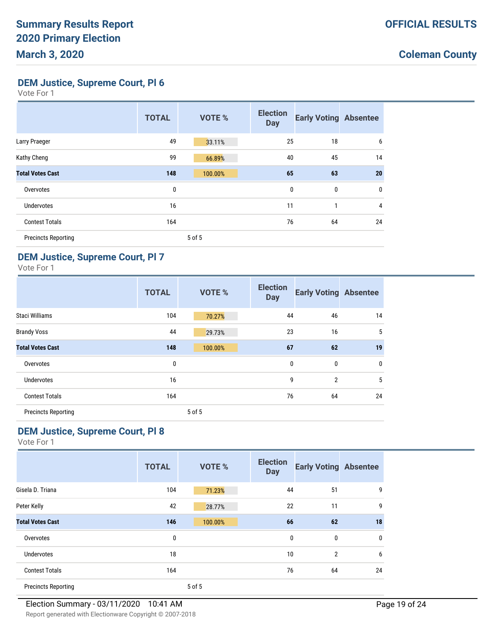**DEM Justice, Supreme Court, Pl 6**

Vote For 1

|                            | <b>TOTAL</b> | VOTE %  | <b>Election</b><br><b>Day</b> | <b>Early Voting Absentee</b> |              |
|----------------------------|--------------|---------|-------------------------------|------------------------------|--------------|
| Larry Praeger              | 49           | 33.11%  | 25                            | 18                           | 6            |
| Kathy Cheng                | 99           | 66.89%  | 40                            | 45                           | 14           |
| <b>Total Votes Cast</b>    | 148          | 100.00% | 65                            | 63                           | 20           |
| Overvotes                  | 0            |         | 0                             | $\mathbf 0$                  | $\mathbf{0}$ |
| <b>Undervotes</b>          | 16           |         | 11                            | 1                            | 4            |
| <b>Contest Totals</b>      | 164          |         | 76                            | 64                           | 24           |
| <b>Precincts Reporting</b> |              | 5 of 5  |                               |                              |              |

#### **DEM Justice, Supreme Court, Pl 7**

Vote For 1

|                            | <b>TOTAL</b> | VOTE %  | <b>Election</b><br><b>Day</b> | <b>Early Voting Absentee</b> |             |
|----------------------------|--------------|---------|-------------------------------|------------------------------|-------------|
| Staci Williams             | 104          | 70.27%  | 44                            | 46                           | 14          |
| <b>Brandy Voss</b>         | 44           | 29.73%  | 23                            | 16                           | 5           |
| <b>Total Votes Cast</b>    | 148          | 100.00% | 67                            | 62                           | 19          |
| Overvotes                  | 0            |         | 0                             | 0                            | $\mathbf 0$ |
| <b>Undervotes</b>          | 16           |         | 9                             | $\overline{2}$               | 5           |
| <b>Contest Totals</b>      | 164          |         | 76                            | 64                           | 24          |
| <b>Precincts Reporting</b> |              | 5 of 5  |                               |                              |             |

### **DEM Justice, Supreme Court, Pl 8**

|                            | <b>TOTAL</b> | VOTE %  | <b>Election</b><br><b>Day</b> | <b>Early Voting Absentee</b> |              |
|----------------------------|--------------|---------|-------------------------------|------------------------------|--------------|
| Gisela D. Triana           | 104          | 71.23%  | 44                            | 51                           | 9            |
| Peter Kelly                | 42           | 28.77%  | 22                            | 11                           | 9            |
| <b>Total Votes Cast</b>    | 146          | 100.00% | 66                            | 62                           | 18           |
| Overvotes                  | 0            |         | 0                             | 0                            | $\mathbf{0}$ |
| Undervotes                 | 18           |         | 10                            | $\overline{2}$               | 6            |
| <b>Contest Totals</b>      | 164          |         | 76                            | 64                           | 24           |
| <b>Precincts Reporting</b> |              | 5 of 5  |                               |                              |              |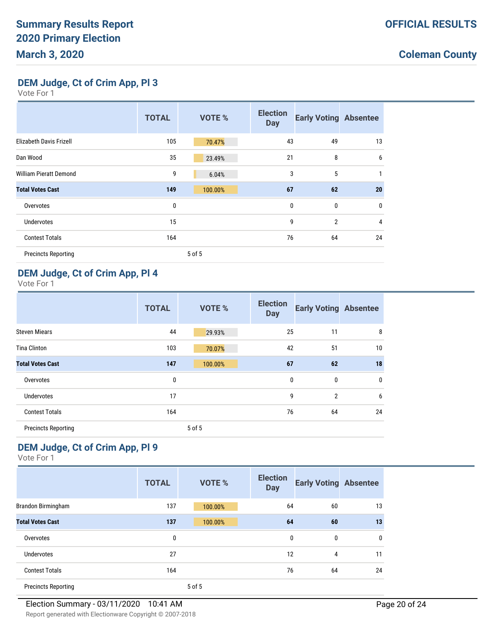**DEM Judge, Ct of Crim App, Pl 3**

Vote For 1

|                               | <b>TOTAL</b> | <b>VOTE %</b> | <b>Election</b><br><b>Day</b> | <b>Early Voting Absentee</b> |              |
|-------------------------------|--------------|---------------|-------------------------------|------------------------------|--------------|
| Elizabeth Davis Frizell       | 105          | 70.47%        | 43                            | 49                           | 13           |
| Dan Wood                      | 35           | 23.49%        | 21                            | 8                            | 6            |
| <b>William Pieratt Demond</b> | 9            | 6.04%         | 3                             | 5                            | 1            |
| <b>Total Votes Cast</b>       | 149          | 100.00%       | 67                            | 62                           | 20           |
| Overvotes                     | 0            |               | 0                             | 0                            | $\mathbf{0}$ |
| <b>Undervotes</b>             | 15           |               | 9                             | $\overline{2}$               | 4            |
| <b>Contest Totals</b>         | 164          |               | 76                            | 64                           | 24           |
| <b>Precincts Reporting</b>    |              | 5 of 5        |                               |                              |              |

#### **DEM Judge, Ct of Crim App, Pl 4**

Vote For 1

|                            | <b>TOTAL</b> | VOTE %  | <b>Election</b><br><b>Day</b> | <b>Early Voting Absentee</b> |           |
|----------------------------|--------------|---------|-------------------------------|------------------------------|-----------|
| <b>Steven Miears</b>       | 44           | 29.93%  | 25                            | 11                           | 8         |
| <b>Tina Clinton</b>        | 103          | 70.07%  | 42                            | 51                           | 10        |
| <b>Total Votes Cast</b>    | 147          | 100.00% | 67                            | 62                           | 18        |
| Overvotes                  | 0            |         | $\mathbf 0$                   | $\bf{0}$                     | $\pmb{0}$ |
| <b>Undervotes</b>          | 17           |         | 9                             | $\overline{2}$               | 6         |
| <b>Contest Totals</b>      | 164          |         | 76                            | 64                           | 24        |
| <b>Precincts Reporting</b> |              | 5 of 5  |                               |                              |           |

### **DEM Judge, Ct of Crim App, Pl 9**

|                            | <b>TOTAL</b> | <b>VOTE %</b> | <b>Election</b><br><b>Day</b> | <b>Early Voting Absentee</b> |              |
|----------------------------|--------------|---------------|-------------------------------|------------------------------|--------------|
| Brandon Birmingham         | 137          | 100.00%       | 64                            | 60                           | 13           |
| <b>Total Votes Cast</b>    | 137          | 100.00%       | 64                            | 60                           | 13           |
| Overvotes                  | 0            |               | $\mathbf{0}$                  | 0                            | $\mathbf{0}$ |
| <b>Undervotes</b>          | 27           |               | 12                            | 4                            | 11           |
| <b>Contest Totals</b>      | 164          |               | 76                            | 64                           | 24           |
| <b>Precincts Reporting</b> |              | 5 of 5        |                               |                              |              |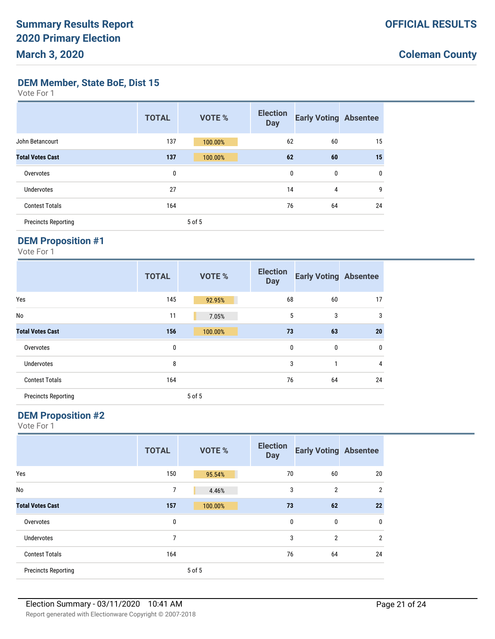**DEM Member, State BoE, Dist 15**

Vote For 1

|                            | <b>TOTAL</b> | <b>VOTE %</b> | <b>Election</b><br><b>Day</b> | <b>Early Voting Absentee</b> |    |
|----------------------------|--------------|---------------|-------------------------------|------------------------------|----|
| John Betancourt            | 137          | 100.00%       | 62                            | 60                           | 15 |
| <b>Total Votes Cast</b>    | 137          | 100.00%       | 62                            | 60                           | 15 |
| Overvotes                  | 0            |               | 0                             | 0                            | 0  |
| <b>Undervotes</b>          | 27           |               | 14                            | 4                            | 9  |
| <b>Contest Totals</b>      | 164          |               | 76                            | 64                           | 24 |
| <b>Precincts Reporting</b> |              | 5 of 5        |                               |                              |    |

#### **DEM Proposition #1**

Vote For 1

|                            | <b>TOTAL</b> | VOTE %  | <b>Election</b><br><b>Day</b> | <b>Early Voting Absentee</b> |                |
|----------------------------|--------------|---------|-------------------------------|------------------------------|----------------|
| Yes                        | 145          | 92.95%  | 68                            | 60                           | 17             |
| <b>No</b>                  | 11           | 7.05%   | 5                             | 3                            | 3              |
| <b>Total Votes Cast</b>    | 156          | 100.00% | 73                            | 63                           | 20             |
| Overvotes                  | 0            |         | $\mathbf{0}$                  | $\mathbf{0}$                 | $\mathbf 0$    |
| <b>Undervotes</b>          | 8            |         | 3                             | 1                            | $\overline{4}$ |
| <b>Contest Totals</b>      | 164          |         | 76                            | 64                           | 24             |
| <b>Precincts Reporting</b> |              | 5 of 5  |                               |                              |                |

#### **DEM Proposition #2**

|                            | <b>TOTAL</b> | VOTE %  | <b>Election</b><br><b>Day</b> | <b>Early Voting Absentee</b> |                |
|----------------------------|--------------|---------|-------------------------------|------------------------------|----------------|
| Yes                        | 150          | 95.54%  | 70                            | 60                           | 20             |
| No                         | 7            | 4.46%   | 3                             | $\overline{2}$               | $\overline{2}$ |
| <b>Total Votes Cast</b>    | 157          | 100.00% | 73                            | 62                           | 22             |
| Overvotes                  | 0            |         | 0                             | $\bf{0}$                     | $\mathbf{0}$   |
| <b>Undervotes</b>          | 7            |         | 3                             | $\overline{2}$               | $\overline{2}$ |
| <b>Contest Totals</b>      | 164          |         | 76                            | 64                           | 24             |
| <b>Precincts Reporting</b> |              | 5 of 5  |                               |                              |                |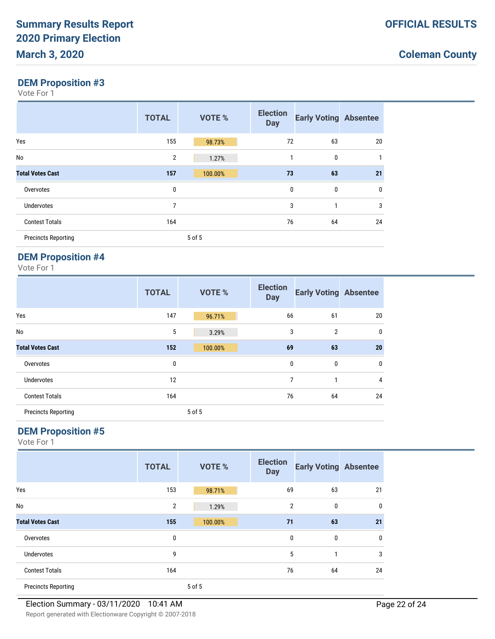### **DEM Proposition #3**

Vote For 1

|                            | <b>TOTAL</b> | VOTE %  | <b>Election</b><br><b>Day</b> | <b>Early Voting Absentee</b> |              |
|----------------------------|--------------|---------|-------------------------------|------------------------------|--------------|
| Yes                        | 155          | 98.73%  | 72                            | 63                           | 20           |
| No                         | 2            | 1.27%   | 1                             | $\mathbf{0}$                 | $\mathbf{1}$ |
| <b>Total Votes Cast</b>    | 157          | 100.00% | 73                            | 63                           | 21           |
| Overvotes                  | 0            |         | $\mathbf{0}$                  | $\mathbf{0}$                 | 0            |
| <b>Undervotes</b>          | 7            |         | 3                             | 1                            | 3            |
| <b>Contest Totals</b>      | 164          |         | 76                            | 64                           | 24           |
| <b>Precincts Reporting</b> |              | 5 of 5  |                               |                              |              |

# **DEM Proposition #4**

Vote For 1

|                            | <b>TOTAL</b> | VOTE %  | <b>Election</b><br><b>Day</b> | <b>Early Voting Absentee</b> |                |
|----------------------------|--------------|---------|-------------------------------|------------------------------|----------------|
| Yes                        | 147          | 96.71%  | 66                            | 61                           | 20             |
| No                         | 5            | 3.29%   | 3                             | $\overline{2}$               | $\mathbf 0$    |
| <b>Total Votes Cast</b>    | 152          | 100.00% | 69                            | 63                           | 20             |
| Overvotes                  | 0            |         | 0                             | 0                            | 0              |
| <b>Undervotes</b>          | 12           |         | 7                             | 1                            | $\overline{4}$ |
| <b>Contest Totals</b>      | 164          |         | 76                            | 64                           | 24             |
| <b>Precincts Reporting</b> |              | 5 of 5  |                               |                              |                |

### **DEM Proposition #5**

|                            | <b>TOTAL</b>   | <b>VOTE %</b> | <b>Election</b><br><b>Day</b> | <b>Early Voting Absentee</b> |              |
|----------------------------|----------------|---------------|-------------------------------|------------------------------|--------------|
| Yes                        | 153            | 98.71%        | 69                            | 63                           | 21           |
| No                         | $\overline{2}$ | 1.29%         | $\overline{2}$                | 0                            | 0            |
| <b>Total Votes Cast</b>    | 155            | 100.00%       | 71                            | 63                           | 21           |
| Overvotes                  | 0              |               | $\mathbf{0}$                  | 0                            | $\mathbf{0}$ |
| Undervotes                 | 9              |               | 5                             | 1                            | 3            |
| <b>Contest Totals</b>      | 164            |               | 76                            | 64                           | 24           |
| <b>Precincts Reporting</b> |                | 5 of 5        |                               |                              |              |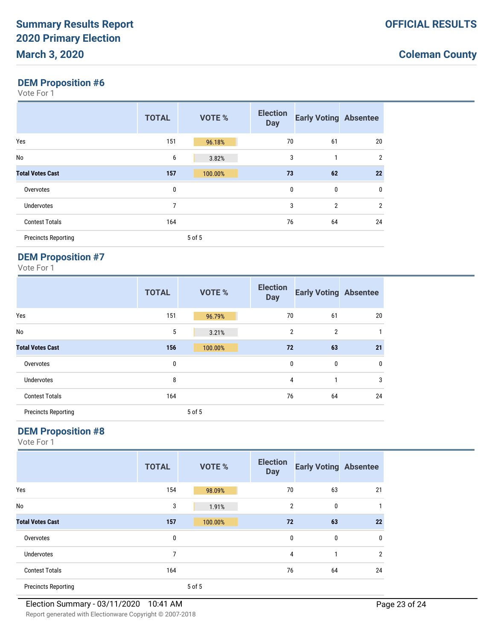#### **DEM Proposition #6**

Vote For 1

|                            | <b>TOTAL</b> | VOTE %  | <b>Election</b><br><b>Day</b> | <b>Early Voting Absentee</b> |                |
|----------------------------|--------------|---------|-------------------------------|------------------------------|----------------|
| Yes                        | 151          | 96.18%  | 70                            | 61                           | 20             |
| No                         | 6            | 3.82%   | 3                             | 1                            | $\overline{2}$ |
| <b>Total Votes Cast</b>    | 157          | 100.00% | 73                            | 62                           | 22             |
| Overvotes                  | 0            |         | $\mathbf{0}$                  | $\mathbf{0}$                 | 0              |
| <b>Undervotes</b>          | 7            |         | 3                             | $\overline{2}$               | $\overline{2}$ |
| <b>Contest Totals</b>      | 164          |         | 76                            | 64                           | 24             |
| <b>Precincts Reporting</b> |              | 5 of 5  |                               |                              |                |

# **DEM Proposition #7**

Vote For 1

|                            | <b>TOTAL</b> | VOTE %  | <b>Election</b><br><b>Day</b> | <b>Early Voting Absentee</b> |              |
|----------------------------|--------------|---------|-------------------------------|------------------------------|--------------|
| Yes                        | 151          | 96.79%  | 70                            | 61                           | 20           |
| No                         | 5            | 3.21%   | $\overline{2}$                | $\overline{2}$               | $\mathbf{1}$ |
| <b>Total Votes Cast</b>    | 156          | 100.00% | 72                            | 63                           | 21           |
| Overvotes                  | 0            |         | 0                             | 0                            | 0            |
| <b>Undervotes</b>          | 8            |         | 4                             | 1                            | 3            |
| <b>Contest Totals</b>      | 164          |         | 76                            | 64                           | 24           |
| <b>Precincts Reporting</b> |              | 5 of 5  |                               |                              |              |

### **DEM Proposition #8**

|                            | <b>TOTAL</b> | <b>VOTE %</b> | <b>Election</b><br><b>Day</b> | <b>Early Voting Absentee</b> |                |
|----------------------------|--------------|---------------|-------------------------------|------------------------------|----------------|
| Yes                        | 154          | 98.09%        | 70                            | 63                           | 21             |
| No                         | 3            | 1.91%         | $\overline{2}$                | 0                            |                |
| <b>Total Votes Cast</b>    | 157          | 100.00%       | 72                            | 63                           | 22             |
| Overvotes                  | 0            |               | $\mathbf{0}$                  | 0                            | 0              |
| Undervotes                 | 7            |               | 4                             | 1                            | $\overline{2}$ |
| <b>Contest Totals</b>      | 164          |               | 76                            | 64                           | 24             |
| <b>Precincts Reporting</b> |              | 5 of 5        |                               |                              |                |